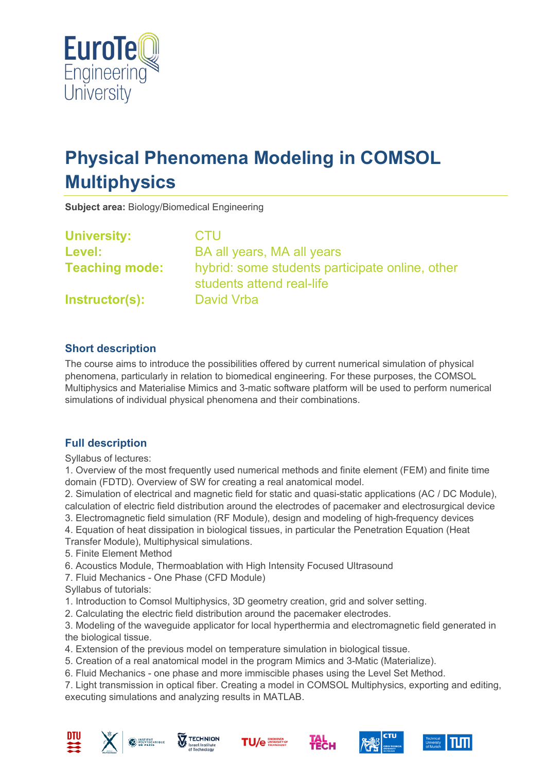

# **Physical Phenomena Modeling in COMSOL Multiphysics**

**Subject area:** Biology/Biomedical Engineering

| <b>University:</b>    | <b>CTU</b>                                                                   |
|-----------------------|------------------------------------------------------------------------------|
| <b>Level:</b>         | BA all years, MA all years                                                   |
| <b>Teaching mode:</b> | hybrid: some students participate online, other<br>students attend real-life |
| Instructor(s):        | David Vrba                                                                   |

## **Short description**

The course aims to introduce the possibilities offered by current numerical simulation of physical phenomena, particularly in relation to biomedical engineering. For these purposes, the COMSOL Multiphysics and Materialise Mimics and 3-matic software platform will be used to perform numerical simulations of individual physical phenomena and their combinations.

# **Full description**

Syllabus of lectures:

1. Overview of the most frequently used numerical methods and finite element (FEM) and finite time domain (FDTD). Overview of SW for creating a real anatomical model.

2. Simulation of electrical and magnetic field for static and quasi-static applications (AC / DC Module), calculation of electric field distribution around the electrodes of pacemaker and electrosurgical device

- 3. Electromagnetic field simulation (RF Module), design and modeling of high-frequency devices
- 4. Equation of heat dissipation in biological tissues, in particular the Penetration Equation (Heat
- Transfer Module), Multiphysical simulations.
- 5. Finite Element Method
- 6. Acoustics Module, Thermoablation with High Intensity Focused Ultrasound
- 7. Fluid Mechanics One Phase (CFD Module)
- Syllabus of tutorials:
- 1. Introduction to Comsol Multiphysics, 3D geometry creation, grid and solver setting.
- 2. Calculating the electric field distribution around the pacemaker electrodes.

3. Modeling of the waveguide applicator for local hyperthermia and electromagnetic field generated in the biological tissue.

4. Extension of the previous model on temperature simulation in biological tissue.

- 5. Creation of a real anatomical model in the program Mimics and 3-Matic (Materialize).
- 6. Fluid Mechanics one phase and more immiscible phases using the Level Set Method.

7. Light transmission in optical fiber. Creating a model in COMSOL Multiphysics, exporting and editing, executing simulations and analyzing results in MATLAB.











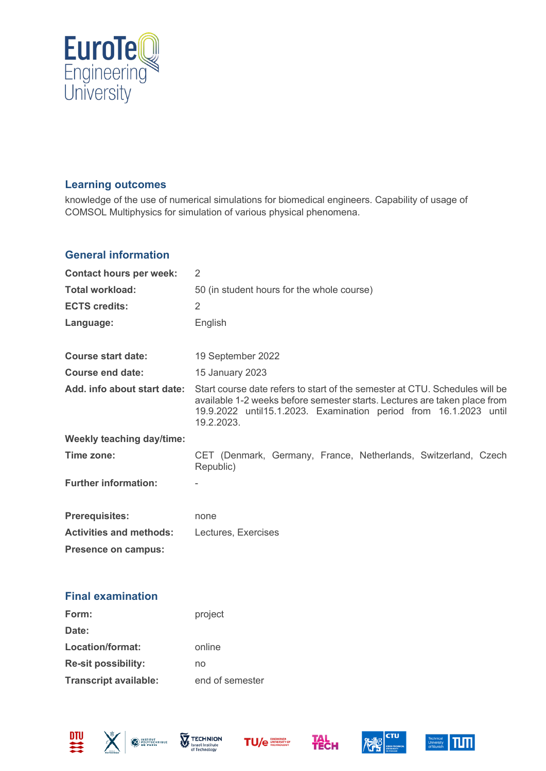

## **Learning outcomes**

knowledge of the use of numerical simulations for biomedical engineers. Capability of usage of COMSOL Multiphysics for simulation of various physical phenomena.

#### **General information**

| <b>Contact hours per week:</b>   | $\overline{2}$                                                                                                                                                                                                                               |
|----------------------------------|----------------------------------------------------------------------------------------------------------------------------------------------------------------------------------------------------------------------------------------------|
| <b>Total workload:</b>           | 50 (in student hours for the whole course)                                                                                                                                                                                                   |
| <b>ECTS credits:</b>             | 2                                                                                                                                                                                                                                            |
| Language:                        | English                                                                                                                                                                                                                                      |
| <b>Course start date:</b>        | 19 September 2022                                                                                                                                                                                                                            |
| <b>Course end date:</b>          | 15 January 2023                                                                                                                                                                                                                              |
| Add. info about start date:      | Start course date refers to start of the semester at CTU. Schedules will be<br>available 1-2 weeks before semester starts. Lectures are taken place from<br>19.9.2022 until 15.1.2023. Examination period from 16.1.2023 until<br>19.2.2023. |
| <b>Weekly teaching day/time:</b> |                                                                                                                                                                                                                                              |
| Time zone:                       | CET (Denmark, Germany, France, Netherlands, Switzerland, Czech<br>Republic)                                                                                                                                                                  |
| <b>Further information:</b>      |                                                                                                                                                                                                                                              |
| <b>Prerequisites:</b>            | none                                                                                                                                                                                                                                         |
| <b>Activities and methods:</b>   | Lectures, Exercises                                                                                                                                                                                                                          |
| Presence on campus:              |                                                                                                                                                                                                                                              |

### **Final examination**

| Form:                        | project         |
|------------------------------|-----------------|
| Date:                        |                 |
| Location/format:             | online          |
| <b>Re-sit possibility:</b>   | no              |
| <b>Transcript available:</b> | end of semester |